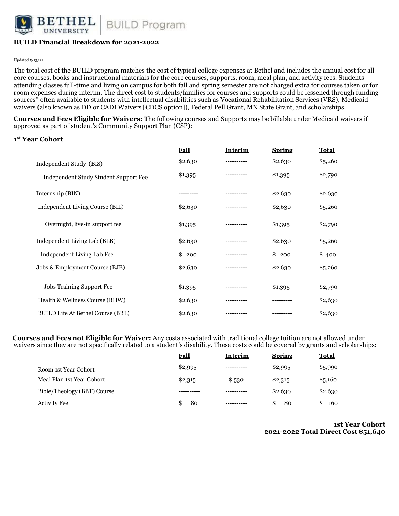

## **BUILD Financial Breakdown for 2021-2022**

#### Updated 5/13/21

The total cost of the BUILD program matches the cost of typical college expenses at Bethel and includes the annual cost for all core courses, books and instructional materials for the core courses, supports, room, meal plan, and activity fees. Students attending classes full-time and living on campus for both fall and spring semester are not charged extra for courses taken or for room expenses during interim. The direct cost to students/families for courses and supports could be lessened through funding sources\* often available to students with intellectual disabilities such as Vocational Rehabilitation Services (VRS), Medicaid waivers (also known as DD or CADI Waivers [CDCS option]), Federal Pell Grant, MN State Grant, and scholarships.

**Courses and Fees Eligible for Waivers:** The following courses and Supports may be billable under Medicaid waivers if approved as part of student's Community Support Plan (CSP):

#### **1 st Year Cohort**

|                                          | <b>Fall</b> | Interim     | <b>Spring</b> | <b>Total</b> |
|------------------------------------------|-------------|-------------|---------------|--------------|
| Independent Study (BIS)                  | \$2,630     | ----------  | \$2,630       | \$5,260      |
| Independent Study Student Support Fee    | \$1,395     |             | \$1,395       | \$2,790      |
| Internship (BIN)                         |             |             | \$2,630       | \$2,630      |
| Independent Living Course (BIL)          | \$2,630     |             | \$2,630       | \$5,260      |
| Overnight, live-in support fee.          | \$1,395     |             | \$1,395       | \$2,790      |
| Independent Living Lab (BLB)             | \$2,630     |             | \$2,630       | \$5,260      |
| Independent Living Lab Fee               | \$<br>200   | ----------- | \$200         | \$400        |
| Jobs & Employment Course (BJE)           | \$2,630     |             | \$2,630       | \$5,260      |
| Jobs Training Support Fee                | \$1,395     |             | \$1,395       | \$2,790      |
| Health & Wellness Course (BHW)           | \$2,630     |             |               | \$2,630      |
| <b>BUILD Life At Bethel Course (BBL)</b> | \$2,630     |             |               | \$2,630      |

**Courses and Fees not Eligible for Waiver:** Any costs associated with traditional college tuition are not allowed under waivers since they are not specifically related to a student's disability. These costs could be covered by grants and scholarships:

|                             | <b>Fall</b> | Interim | <b>Spring</b> | <b>Total</b> |
|-----------------------------|-------------|---------|---------------|--------------|
| Room 1st Year Cohort        | \$2,995     |         | \$2,995       | \$5,990      |
| Meal Plan 1st Year Cohort   | \$2,315     | \$530   | \$2,315       | \$5,160      |
| Bible/Theology (BBT) Course |             |         | \$2,630       | \$2,630      |
| <b>Activity Fee</b>         | 80          |         | 80            | 160          |

#### **1st Year Cohort 2021-2022 Total Direct Cost \$51,640**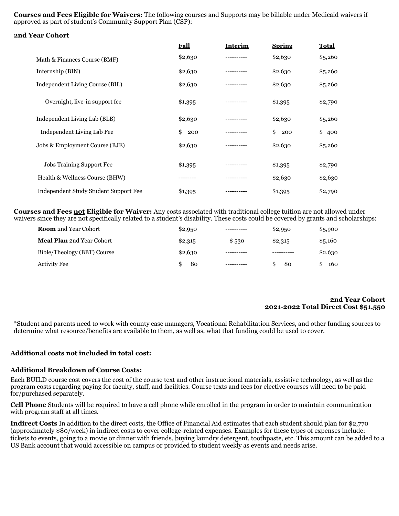**Courses and Fees Eligible for Waivers:** The following courses and Supports may be billable under Medicaid waivers if approved as part of student's Community Support Plan (CSP):

### **2nd Year Cohort**

|                                       | <b>Fall</b> | <b>Interim</b> | <b>Spring</b> | <b>Total</b> |
|---------------------------------------|-------------|----------------|---------------|--------------|
| Math & Finances Course (BMF)          | \$2,630     |                | \$2,630       | \$5,260      |
| Internship (BIN)                      | \$2,630     |                | \$2,630       | \$5,260      |
| Independent Living Course (BIL)       | \$2,630     | ----------     | \$2,630       | \$5,260      |
| Overnight, live-in support fee.       | \$1,395     |                | \$1,395       | \$2,790      |
| Independent Living Lab (BLB)          | \$2,630     |                | \$2,630       | \$5,260      |
| Independent Living Lab Fee            | \$<br>200   |                | \$<br>200     | \$400        |
| Jobs & Employment Course (BJE)        | \$2,630     |                | \$2,630       | \$5,260      |
| <b>Jobs Training Support Fee</b>      | \$1,395     |                | \$1,395       | \$2,790      |
| Health & Wellness Course (BHW)        |             |                | \$2,630       | \$2,630      |
| Independent Study Student Support Fee | \$1,395     |                | \$1,395       | \$2,790      |

**Courses and Fees not Eligible for Waiver:** Any costs associated with traditional college tuition are not allowed under waivers since they are not specifically related to a student's disability. These costs could be covered by grants and scholarships:

| <b>Room</b> 2nd Year Cohort      | \$2,950 |       | \$2,950 | \$5,900  |
|----------------------------------|---------|-------|---------|----------|
| <b>Meal Plan 2nd Year Cohort</b> | \$2,315 | \$530 | \$2,315 | \$5,160  |
| Bible/Theology (BBT) Course      | \$2,630 |       |         | \$2,630  |
| <b>Activity Fee</b>              | 80      |       | 80      | 160<br>S |

# **2nd Year Cohort 2021-2022 Total Direct Cost \$51,550**

\*Student and parents need to work with county case managers, Vocational Rehabilitation Services, and other funding sources to determine what resource/benefits are available to them, as well as, what that funding could be used to cover.

## **Additional costs not included in total cost:**

## **Additional Breakdown of Course Costs:**

Each BUILD course cost covers the cost of the course text and other instructional materials, assistive technology, as well as the program costs regarding paying for faculty, staff, and facilities. Course texts and fees for elective courses will need to be paid for/purchased separately.

**Cell Phone** Students will be required to have a cell phone while enrolled in the program in order to maintain communication with program staff at all times.

**Indirect Costs** In addition to the direct costs, the Office of Financial Aid estimates that each student should plan for \$2,770 (approximately \$80/week) in indirect costs to cover college-related expenses. Examples for these types of expenses include: tickets to events, going to a movie or dinner with friends, buying laundry detergent, toothpaste, etc. This amount can be added to a US Bank account that would accessible on campus or provided to student weekly as events and needs arise.